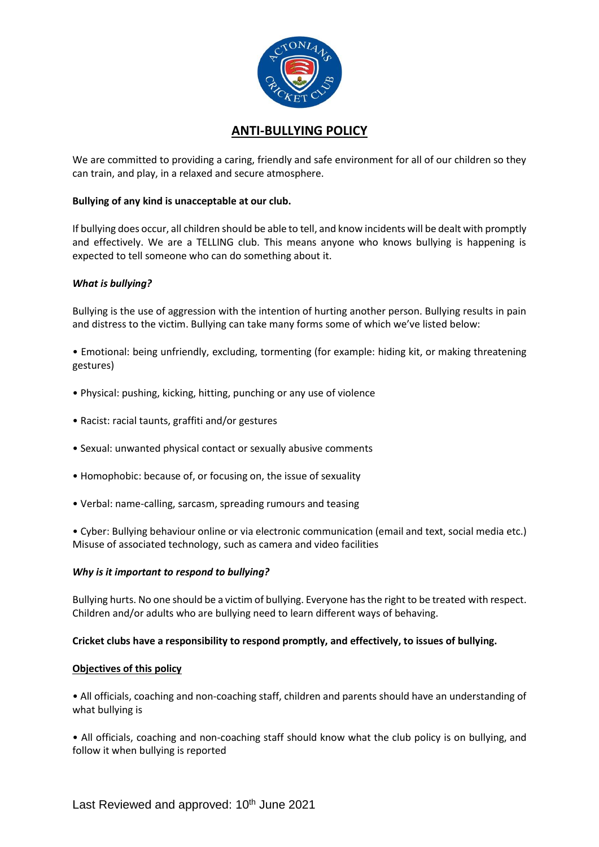

# **ANTI-BULLYING POLICY**

We are committed to providing a caring, friendly and safe environment for all of our children so they can train, and play, in a relaxed and secure atmosphere.

## **Bullying of any kind is unacceptable at our club.**

If bullying does occur, all children should be able to tell, and know incidents will be dealt with promptly and effectively. We are a TELLING club. This means anyone who knows bullying is happening is expected to tell someone who can do something about it.

## *What is bullying?*

Bullying is the use of aggression with the intention of hurting another person. Bullying results in pain and distress to the victim. Bullying can take many forms some of which we've listed below:

• Emotional: being unfriendly, excluding, tormenting (for example: hiding kit, or making threatening gestures)

- Physical: pushing, kicking, hitting, punching or any use of violence
- Racist: racial taunts, graffiti and/or gestures
- Sexual: unwanted physical contact or sexually abusive comments
- Homophobic: because of, or focusing on, the issue of sexuality
- Verbal: name-calling, sarcasm, spreading rumours and teasing

• Cyber: Bullying behaviour online or via electronic communication (email and text, social media etc.) Misuse of associated technology, such as camera and video facilities

### *Why is it important to respond to bullying?*

Bullying hurts. No one should be a victim of bullying. Everyone has the right to be treated with respect. Children and/or adults who are bullying need to learn different ways of behaving.

### **Cricket clubs have a responsibility to respond promptly, and effectively, to issues of bullying.**

### **Objectives of this policy**

• All officials, coaching and non-coaching staff, children and parents should have an understanding of what bullying is

• All officials, coaching and non-coaching staff should know what the club policy is on bullying, and follow it when bullying is reported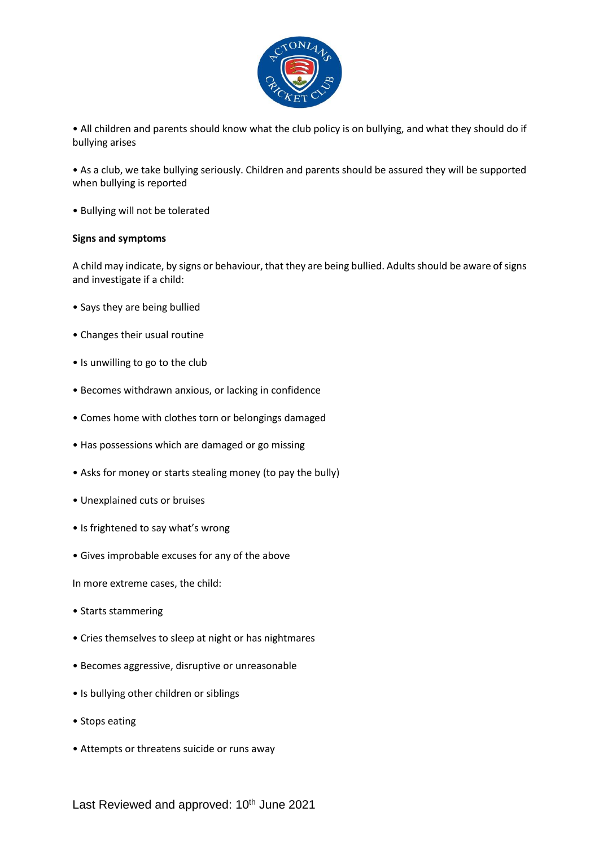

• All children and parents should know what the club policy is on bullying, and what they should do if bullying arises

• As a club, we take bullying seriously. Children and parents should be assured they will be supported when bullying is reported

• Bullying will not be tolerated

### **Signs and symptoms**

A child may indicate, by signs or behaviour, that they are being bullied. Adults should be aware of signs and investigate if a child:

- Says they are being bullied
- Changes their usual routine
- Is unwilling to go to the club
- Becomes withdrawn anxious, or lacking in confidence
- Comes home with clothes torn or belongings damaged
- Has possessions which are damaged or go missing
- Asks for money or starts stealing money (to pay the bully)
- Unexplained cuts or bruises
- Is frightened to say what's wrong
- Gives improbable excuses for any of the above

In more extreme cases, the child:

- Starts stammering
- Cries themselves to sleep at night or has nightmares
- Becomes aggressive, disruptive or unreasonable
- Is bullying other children or siblings
- Stops eating
- Attempts or threatens suicide or runs away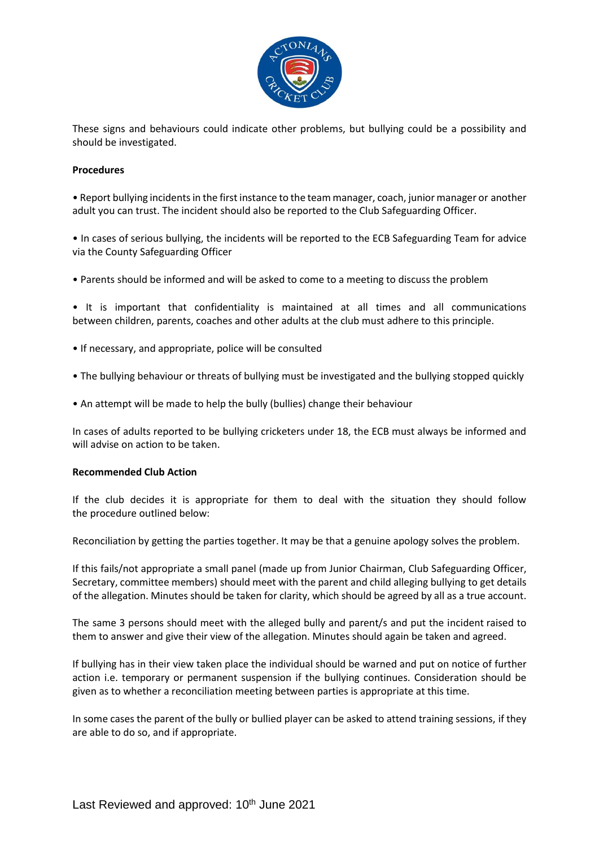

These signs and behaviours could indicate other problems, but bullying could be a possibility and should be investigated.

#### **Procedures**

• Report bullying incidents in the first instance to the team manager, coach, junior manager or another adult you can trust. The incident should also be reported to the Club Safeguarding Officer.

• In cases of serious bullying, the incidents will be reported to the ECB Safeguarding Team for advice via the County Safeguarding Officer

• Parents should be informed and will be asked to come to a meeting to discuss the problem

• It is important that confidentiality is maintained at all times and all communications between children, parents, coaches and other adults at the club must adhere to this principle.

- If necessary, and appropriate, police will be consulted
- The bullying behaviour or threats of bullying must be investigated and the bullying stopped quickly
- An attempt will be made to help the bully (bullies) change their behaviour

In cases of adults reported to be bullying cricketers under 18, the ECB must always be informed and will advise on action to be taken.

### **Recommended Club Action**

If the club decides it is appropriate for them to deal with the situation they should follow the procedure outlined below:

Reconciliation by getting the parties together. It may be that a genuine apology solves the problem.

If this fails/not appropriate a small panel (made up from Junior Chairman, Club Safeguarding Officer, Secretary, committee members) should meet with the parent and child alleging bullying to get details of the allegation. Minutes should be taken for clarity, which should be agreed by all as a true account.

The same 3 persons should meet with the alleged bully and parent/s and put the incident raised to them to answer and give their view of the allegation. Minutes should again be taken and agreed.

If bullying has in their view taken place the individual should be warned and put on notice of further action i.e. temporary or permanent suspension if the bullying continues. Consideration should be given as to whether a reconciliation meeting between parties is appropriate at this time.

In some cases the parent of the bully or bullied player can be asked to attend training sessions, if they are able to do so, and if appropriate.